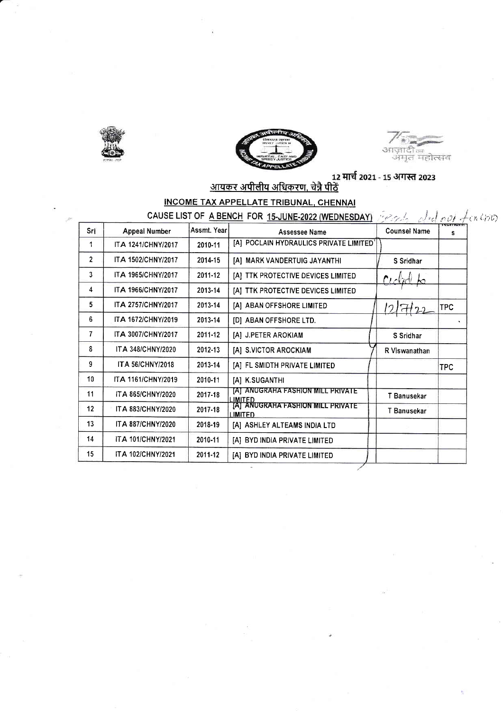





### INCOME TAX APPELLATE TRIBUNAL, CHENNAI TOE A DENOU COD 45 JUNE 2022 AUFONEST

|                   | CAUSE LIST OF A BENCH FOR 15-JUNE-2022 (WEDNESDAY) |              | years did not feather                                     |                     |            |
|-------------------|----------------------------------------------------|--------------|-----------------------------------------------------------|---------------------|------------|
| Srl               | Appeal Number                                      | Assmt. Yearl | Assessee Name                                             | <b>Counsel Name</b> | s          |
| 1                 | ITA 1241/CHNY/2017                                 | 2010-11      | [A] POCLAIN HYDRAULICS PRIVATE LIMITED'                   |                     |            |
| $\overline{2}$    | ITA 1502/CHNY/2017                                 | 2014-15      | [A] MARK VANDERTUIG JAYANTHI                              | S Sridhar           |            |
| 3                 | <b>ITA 1965/CHNY/2017</b>                          | 2011-12      | [A] TTK PROTECTIVE DEVICES LIMITED                        | $P_{L}$<br>hо       |            |
| 4                 | ITA 1966/CHNY/2017                                 | 2013-14      | [A] TTK PROTECTIVE DEVICES LIMITED                        |                     |            |
| 5.                | ITA 2757/CHNY/2017                                 | 2013-14      | [A] ABAN OFFSHORE LIMITED                                 | $7H_2$              | <b>TPC</b> |
| 6                 | ITA 1672/CHNY/2019                                 | 2013-14      | [D] ABAN OFFSHORE LTD.                                    |                     |            |
| 7                 | ITA 3007/CHNY/2017                                 | 2011-12      | [A] J.PETER AROKIAM                                       | S Sridhar           |            |
| 8                 | <b>ITA 348/CHNY/2020</b>                           | 2012-13      | [A] S.VICTOR AROCKIAM                                     | R Viswanathan       |            |
| 9                 | <b>ITA 56/CHNY/2018</b>                            | 2013-14      | [A] FL SMIDTH PRIVATE LIMITED                             |                     | <b>TPC</b> |
| 10                | ITA 1161/CHNY/2019                                 | 2010-11      | [A] K.SUGANTHI                                            |                     |            |
| 11                | ITA 865/CHNY/2020                                  | 2017-18      | [A] ANUGRAHA FASHION MILL PRIVATE                         | T Banusekar         |            |
| $12 \overline{ }$ | <b>ITA 883/CHNY/2020</b>                           | 2017-18      | LIMITED<br>[A]  ANUGRAHA FASHION MILL PRIVATE*<br>LIMITED | T Banusekar         |            |
| 13                | ITA 887/CHNY/2020                                  | 2018-19      | [A] ASHLEY ALTEAMS INDIA LTD                              |                     |            |
| 14                | <b>ITA 101/CHNY/2021</b>                           | 2010-11      | [A] BYD INDIA PRIVATE LIMITED                             |                     |            |
| 15                | <b>ITA 102/CHNY/2021</b>                           | 2011-12      | [A] BYD INDIA PRIVATE LIMITED                             |                     |            |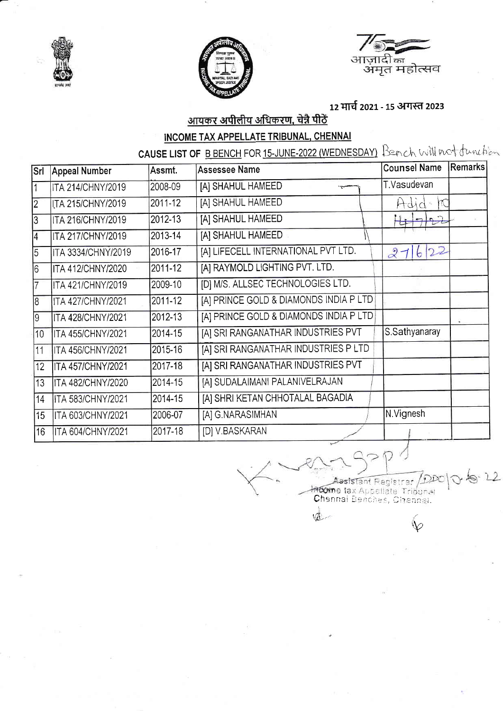





## 12 मार्च 2021 - 15 अगस्त 2023

## <u>आयकर अपीलीय अधिकरण, चेन्नै पीठें</u>

## **INCOME TAX APPELLATE TRIBUNAL, CHENNAL**

CAUSE LIST OF B BENCH FOR 15-JUNE-2022 (WEDNESDAY) Bench will not tunchion

| Srl            | <b>Appeal Number</b>     | Assmt.  | <b>Assessee Name</b>                   | <b>Counsel Name</b> | <b>Remarks</b> |
|----------------|--------------------------|---------|----------------------------------------|---------------------|----------------|
|                | ITA 214/CHNY/2019        | 2008-09 | [A] SHAHUL HAMEED<br>۳.                | T.Vasudevan         |                |
| $\overline{2}$ | ITA 215/CHNY/2019        | 2011-12 | [A] SHAHUL HAMEED                      | Hdid-               |                |
| 3              | ITA 216/CHNY/2019        | 2012-13 | [A] SHAHUL HAMEED                      | 7122                |                |
| $\overline{4}$ | ITA 217/CHNY/2019        | 2013-14 | [A] SHAHUL HAMEED                      |                     |                |
| $\overline{5}$ | ITA 3334/CHNY/2019       | 2016-17 | [A] LIFECELL INTERNATIONAL PVT LTD.    | 22<br>27<br>b       |                |
| 6              | <b>ITA 412/CHNY/2020</b> | 2011-12 | [A] RAYMOLD LIGHTING PVT. LTD.         |                     |                |
| 17             | <b>ITA 421/CHNY/2019</b> | 2009-10 | [D] M/S. ALLSEC TECHNOLOGIES LTD.      |                     |                |
| 18             | ITA 427/CHNY/2021        | 2011-12 | [A] PRINCE GOLD & DIAMONDS INDIA P LTD |                     |                |
| 9              | ITA 428/CHNY/2021        | 2012-13 | [A] PRINCE GOLD & DIAMONDS INDIA P LTD |                     |                |
| 10             | <b>ITA 455/CHNY/2021</b> | 2014-15 | [A] SRI RANGANATHAR INDUSTRIES PVT     | S.Sathyanaray       |                |
| 11             | <b>ITA 456/CHNY/2021</b> | 2015-16 | [A] SRI RANGANATHAR INDUSTRIES P LTD   |                     |                |
| 12             | <b>ITA 457/CHNY/2021</b> | 2017-18 | [A] SRI RANGANATHAR INDUSTRIES PVT     |                     |                |
| 13             | <b>ITA 482/CHNY/2020</b> | 2014-15 | [A] SUDALAIMANI PALANIVELRAJAN         |                     |                |
| 14             | <b>ITA 583/CHNY/2021</b> | 2014-15 | [A] SHRI KETAN CHHOTALAL BAGADIA       |                     |                |
| 15             | ITA 603/CHNY/2021        | 2006-07 | [A] G.NARASIMHAN                       | N.Vignesh           |                |
| 16             | <b>ITA 604/CHNY/2021</b> | 2017-18 | [D] V.BASKARAN                         |                     |                |

Assistant Registra: DI<br>Income tax Appellate Tribunal<br>Chennai Benches, Chennai.  $/DD$ 

 $\mathbb{V}$